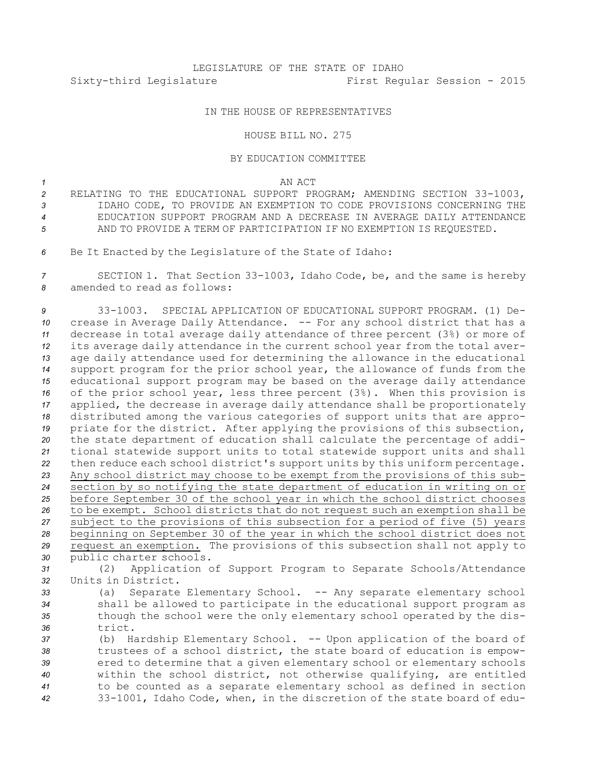## LEGISLATURE OF THE STATE OF IDAHO Sixty-third Legislature First Regular Session - 2015

## IN THE HOUSE OF REPRESENTATIVES

## HOUSE BILL NO. 275

## BY EDUCATION COMMITTEE

*1* AN ACT

- *<sup>2</sup>* RELATING TO THE EDUCATIONAL SUPPORT PROGRAM; AMENDING SECTION 33-1003, *3* IDAHO CODE, TO PROVIDE AN EXEMPTION TO CODE PROVISIONS CONCERNING THE *4* EDUCATION SUPPORT PROGRAM AND A DECREASE IN AVERAGE DAILY ATTENDANCE *5* AND TO PROVIDE A TERM OF PARTICIPATION IF NO EXEMPTION IS REQUESTED.
- *<sup>6</sup>* Be It Enacted by the Legislature of the State of Idaho:

*<sup>7</sup>* SECTION 1. That Section 33-1003, Idaho Code, be, and the same is hereby *8* amended to read as follows:

 33-1003. SPECIAL APPLICATION OF EDUCATIONAL SUPPORT PROGRAM. (1) De- crease in Average Daily Attendance. -- For any school district that has <sup>a</sup> decrease in total average daily attendance of three percent (3%) or more of its average daily attendance in the current school year from the total aver- age daily attendance used for determining the allowance in the educational support program for the prior school year, the allowance of funds from the educational support program may be based on the average daily attendance of the prior school year, less three percent (3%). When this provision is applied, the decrease in average daily attendance shall be proportionately distributed among the various categories of support units that are appro- priate for the district. After applying the provisions of this subsection, the state department of education shall calculate the percentage of addi- tional statewide support units to total statewide support units and shall then reduce each school district's support units by this uniform percentage. Any school district may choose to be exempt from the provisions of this sub- section by so notifying the state department of education in writing on or before September 30 of the school year in which the school district chooses to be exempt. School districts that do not request such an exemption shall be subject to the provisions of this subsection for <sup>a</sup> period of five (5) years beginning on September 30 of the year in which the school district does not request an exemption. The provisions of this subsection shall not apply to public charter schools.

*<sup>31</sup>* (2) Application of Support Program to Separate Schools/Attendance *32* Units in District.

33 (a) Separate Elementary School. -- Any separate elementary school *<sup>34</sup>* shall be allowed to participate in the educational support program as *<sup>35</sup>* though the school were the only elementary school operated by the dis-*36* trict.

 (b) Hardship Elementary School. -- Upon application of the board of trustees of <sup>a</sup> school district, the state board of education is empow- ered to determine that <sup>a</sup> given elementary school or elementary schools within the school district, not otherwise qualifying, are entitled to be counted as <sup>a</sup> separate elementary school as defined in section 33-1001, Idaho Code, when, in the discretion of the state board of edu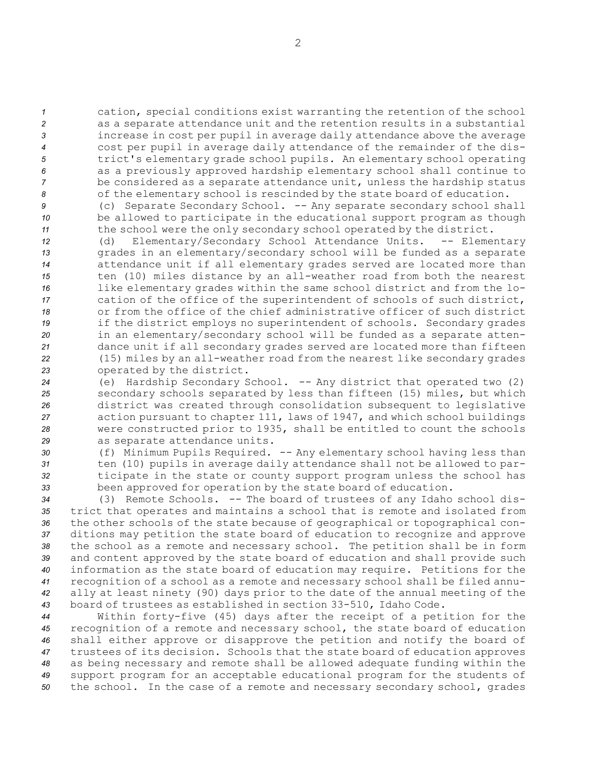cation, special conditions exist warranting the retention of the school as <sup>a</sup> separate attendance unit and the retention results in <sup>a</sup> substantial increase in cost per pupil in average daily attendance above the average cost per pupil in average daily attendance of the remainder of the dis- trict's elementary grade school pupils. An elementary school operating as <sup>a</sup> previously approved hardship elementary school shall continue to be considered as <sup>a</sup> separate attendance unit, unless the hardship status of the elementary school is rescinded by the state board of education.

*<sup>9</sup>* (c) Separate Secondary School. -- Any separate secondary school shall *<sup>10</sup>* be allowed to participate in the educational support program as though *<sup>11</sup>* the school were the only secondary school operated by the district.

 (d) Elementary/Secondary School Attendance Units. -- Elementary grades in an elementary/secondary school will be funded as <sup>a</sup> separate attendance unit if all elementary grades served are located more than ten (10) miles distance by an all-weather road from both the nearest like elementary grades within the same school district and from the lo- cation of the office of the superintendent of schools of such district, or from the office of the chief administrative officer of such district if the district employs no superintendent of schools. Secondary grades in an elementary/secondary school will be funded as <sup>a</sup> separate atten- dance unit if all secondary grades served are located more than fifteen (15) miles by an all-weather road from the nearest like secondary grades operated by the district.

 (e) Hardship Secondary School. -- Any district that operated two (2) secondary schools separated by less than fifteen (15) miles, but which district was created through consolidation subsequent to legislative action pursuant to chapter 111, laws of 1947, and which school buildings were constructed prior to 1935, shall be entitled to count the schools as separate attendance units.

30 (f) Minimum Pupils Required. -- Any elementary school having less than ten (10) pupils in average daily attendance shall not be allowed to par- ticipate in the state or county support program unless the school has been approved for operation by the state board of education.

 (3) Remote Schools. -- The board of trustees of any Idaho school dis- trict that operates and maintains <sup>a</sup> school that is remote and isolated from the other schools of the state because of geographical or topographical con- ditions may petition the state board of education to recognize and approve the school as <sup>a</sup> remote and necessary school. The petition shall be in form and content approved by the state board of education and shall provide such information as the state board of education may require. Petitions for the recognition of <sup>a</sup> school as <sup>a</sup> remote and necessary school shall be filed annu- ally at least ninety (90) days prior to the date of the annual meeting of the board of trustees as established in section 33-510, Idaho Code.

 Within forty-five (45) days after the receipt of <sup>a</sup> petition for the recognition of <sup>a</sup> remote and necessary school, the state board of education shall either approve or disapprove the petition and notify the board of trustees of its decision. Schools that the state board of education approves as being necessary and remote shall be allowed adequate funding within the support program for an acceptable educational program for the students of the school. In the case of <sup>a</sup> remote and necessary secondary school, grades